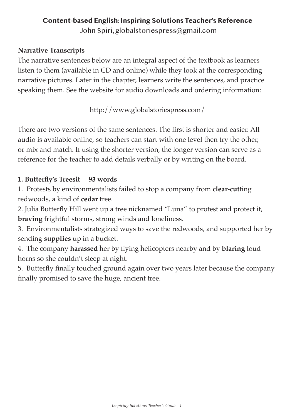## **Content-based English: Inspiring Solutions Teacher's Reference** John Spiri, globalstoriespress@gmail.com

#### **Narrative Transcripts**

The narrative sentences below are an integral aspect of the textbook as learners listen to them (available in CD and online) while they look at the corresponding narrative pictures. Later in the chapter, learners write the sentences, and practice speaking them. See the website for audio downloads and ordering information:

http://www.globalstoriespress.com/

There are two versions of the same sentences. The first is shorter and easier. All audio is available online, so teachers can start with one level then try the other, or mix and match. If using the shorter version, the longer version can serve as a reference for the teacher to add details verbally or by writing on the board.

#### **1. Butterfly's Treesit 93 words**

1. Protests by environmentalists failed to stop a company from **clear-cut**ting redwoods, a kind of **cedar** tree.

2. Julia Butterfly Hill went up a tree nicknamed "Luna" to protest and protect it, **braving** frightful storms, strong winds and loneliness.

3. Environmentalists strategized ways to save the redwoods, and supported her by sending **supplies** up in a bucket.

4. The company **harassed** her by flying helicopters nearby and by **blaring** loud horns so she couldn't sleep at night.

5. Butterfly finally touched ground again over two years later because the company finally promised to save the huge, ancient tree.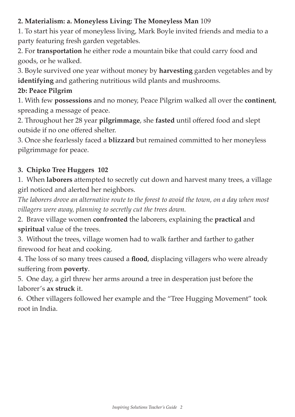## **2. Materialism: a. Moneyless Living: The Moneyless Man** 109

1. To start his year of moneyless living, Mark Boyle invited friends and media to a party featuring fresh garden vegetables.

2. For **transportation** he either rode a mountain bike that could carry food and goods, or he walked.

3. Boyle survived one year without money by **harvesting** garden vegetables and by **identifying** and gathering nutritious wild plants and mushrooms.

## **2b: Peace Pilgrim**

1. With few **possessions** and no money, Peace Pilgrim walked all over the **continent**, spreading a message of peace.

2. Throughout her 28 year **pilgrimmage**, she **fasted** until offered food and slept outside if no one offered shelter.

3. Once she fearlessly faced a **blizzard** but remained committed to her moneyless pilgrimmage for peace.

## **3. Chipko Tree Huggers 102**

1. When **laborers** attempted to secretly cut down and harvest many trees, a village girl noticed and alerted her neighbors.

*The laborers drove an alternative route to the forest to avoid the town, on a day when most villagers were away, planning to secretly cut the trees down.*

2. Brave village women **confronted** the laborers, explaining the **practical** and **spiritual** value of the trees.

3. Without the trees, village women had to walk farther and farther to gather firewood for heat and cooking.

4. The loss of so many trees caused a **flood**, displacing villagers who were already suffering from **poverty**.

5. One day, a girl threw her arms around a tree in desperation just before the laborer's **ax struck** it.

6. Other villagers followed her example and the "Tree Hugging Movement" took root in India.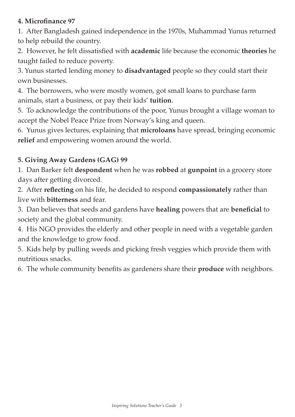### **4. Microfinance 97**

1. After Bangladesh gained independence in the 1970s, Muhammad Yunus returned to help rebuild the country.

2. However, he felt dissatisfied with **academic** life because the economic **theories** he taught failed to reduce poverty.

3. Yunus started lending money to **disadvantaged** people so they could start their own businesses.

4. The borrowers, who were mostly women, got small loans to purchase farm animals, start a business, or pay their kids' **tuition**.

5. To acknowledge the contributions of the poor, Yunus brought a village woman to accept the Nobel Peace Prize from Norway's king and queen.

6. Yunus gives lectures, explaining that **microloans** have spread, bringing economic **relief** and empowering women around the world.

## **5. Giving Away Gardens (GAG) 99**

1. Dan Barker felt **despondent** when he was **robbed** at **gunpoint** in a grocery store days after getting divorced.

2. After **reflecting** on his life, he decided to respond **compassionately** rather than live with **bitterness** and fear.

3. Dan believes that seeds and gardens have **healing** powers that are **beneficial** to society and the global community.

4. His NGO provides the elderly and other people in need with a vegetable garden and the knowledge to grow food.

5. Kids help by pulling weeds and picking fresh veggies which provide them with nutritious snacks.

6. The whole community benefits as gardeners share their **produce** with neighbors.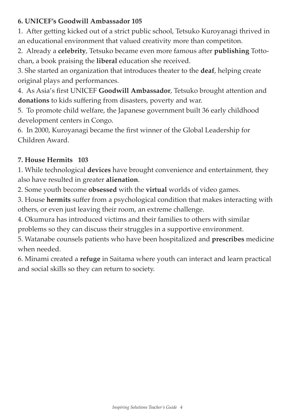### **6. UNICEF's Goodwill Ambassador 105**

1. After getting kicked out of a strict public school, Tetsuko Kuroyanagi thrived in an educational environment that valued creativity more than competiton.

2. Already a **celebrity**, Tetsuko became even more famous after **publishing** Tottochan, a book praising the **liberal** education she received.

3. She started an organization that introduces theater to the **deaf**, helping create original plays and performances.

4. As Asia's first UNICEF **Goodwill Ambassador**, Tetsuko brought attention and **donations** to kids suffering from disasters, poverty and war.

5. To promote child welfare, the Japanese government built 36 early childhood development centers in Congo.

6. In 2000, Kuroyanagi became the first winner of the Global Leadership for Children Award.

## **7. House Hermits 103**

1. While technological **devices** have brought convenience and entertainment, they also have resulted in greater **alienation**.

2. Some youth become **obsessed** with the **virtual** worlds of video games.

3. House **hermits** suffer from a psychological condition that makes interacting with others, or even just leaving their room, an extreme challenge.

4. Okumura has introduced victims and their families to others with similar problems so they can discuss their struggles in a supportive environment.

5. Watanabe counsels patients who have been hospitalized and **prescribes** medicine when needed.

6. Minami created a **refuge** in Saitama where youth can interact and learn practical and social skills so they can return to society.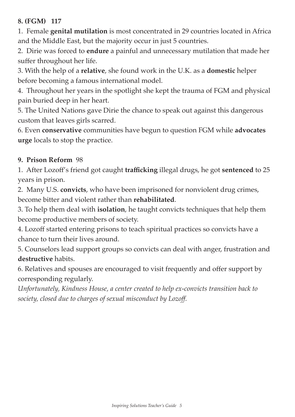#### **8. (FGM) 117**

1. Female **genital mutilation** is most concentrated in 29 countries located in Africa and the Middle East, but the majority occur in just 5 countries.

2. Dirie was forced to **endure** a painful and unnecessary mutilation that made her suffer throughout her life.

3. With the help of a **relative**, she found work in the U.K. as a **domestic** helper before becoming a famous international model.

4. Throughout her years in the spotlight she kept the trauma of FGM and physical pain buried deep in her heart.

5. The United Nations gave Dirie the chance to speak out against this dangerous custom that leaves girls scarred.

6. Even **conservative** communities have begun to question FGM while **advocates urge** locals to stop the practice.

#### **9. Prison Reform** 98

1. After Lozoff's friend got caught **trafficking** illegal drugs, he got **sentenced** to 25 years in prison.

2. Many U.S. **convicts**, who have been imprisoned for nonviolent drug crimes, become bitter and violent rather than **rehabilitated**.

3. To help them deal with **isolation**, he taught convicts techniques that help them become productive members of society.

4. Lozoff started entering prisons to teach spiritual practices so convicts have a chance to turn their lives around.

5. Counselors lead support groups so convicts can deal with anger, frustration and **destructive** habits.

6. Relatives and spouses are encouraged to visit frequently and offer support by corresponding regularly.

*Unfortunately, Kindness House, a center created to help ex-convicts transition back to society, closed due to charges of sexual misconduct by Lozoff.*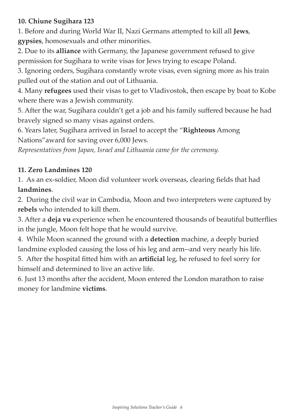## **10. Chiune Sugihara 123**

1. Before and during World War II, Nazi Germans attempted to kill all **Jews**, **gypsies**, homosexuals and other minorities.

2. Due to its **alliance** with Germany, the Japanese government refused to give permission for Sugihara to write visas for Jews trying to escape Poland.

3. Ignoring orders, Sugihara constantly wrote visas, even signing more as his train pulled out of the station and out of Lithuania.

4. Many **refugees** used their visas to get to Vladivostok, then escape by boat to Kobe where there was a Jewish community.

5. After the war, Sugihara couldn't get a job and his family suffered because he had bravely signed so many visas against orders.

6. Years later, Sugihara arrived in Israel to accept the "**Righteous** Among Nations"award for saving over 6,000 Jews.

*Representatives from Japan, Israel and Lithuania came for the ceremony.*

## **11. Zero Landmines 120**

1. As an ex-soldier, Moon did volunteer work overseas, clearing fields that had **landmines**.

2. During the civil war in Cambodia, Moon and two interpreters were captured by **rebels** who intended to kill them.

3. After a **deja vu** experience when he encountered thousands of beautiful butterflies in the jungle, Moon felt hope that he would survive.

4. While Moon scanned the ground with a **detection** machine, a deeply buried landmine exploded causing the loss of his leg and arm--and very nearly his life.

5. After the hospital fitted him with an **artificial** leg, he refused to feel sorry for himself and determined to live an active life.

6. Just 13 months after the accident, Moon entered the London marathon to raise money for landmine **victims**.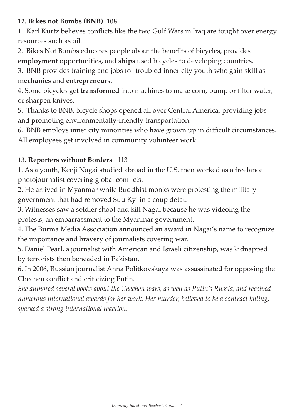#### **12. Bikes not Bombs (BNB) 108**

1. Karl Kurtz believes conflicts like the two Gulf Wars in Iraq are fought over energy resources such as oil.

2. Bikes Not Bombs educates people about the benefits of bicycles, provides **employment** opportunities, and **ships** used bicycles to developing countries.

3. BNB provides training and jobs for troubled inner city youth who gain skill as **mechanics** and **entrepreneurs**.

4. Some bicycles get **transformed** into machines to make corn, pump or filter water, or sharpen knives.

5. Thanks to BNB, bicycle shops opened all over Central America, providing jobs and promoting environmentally-friendly transportation.

6. BNB employs inner city minorities who have grown up in difficult circumstances. All employees get involved in community volunteer work.

## **13. Reporters without Borders** 113

1. As a youth, Kenji Nagai studied abroad in the U.S. then worked as a freelance photojournalist covering global conflicts.

2. He arrived in Myanmar while Buddhist monks were protesting the military government that had removed Suu Kyi in a coup detat.

3. Witnesses saw a soldier shoot and kill Nagai because he was videoing the protests, an embarrassment to the Myanmar government.

4. The Burma Media Association announced an award in Nagai's name to recognize the importance and bravery of journalists covering war.

5. Daniel Pearl, a journalist with American and Israeli citizenship, was kidnapped by terrorists then beheaded in Pakistan.

6. In 2006, Russian journalist Anna Politkovskaya was assassinated for opposing the Chechen conflict and criticizing Putin.

*She authored several books about the Chechen wars, as well as Putin's Russia, and received numerous international awards for her work. Her murder, believed to be a contract killing, sparked a strong international reaction.*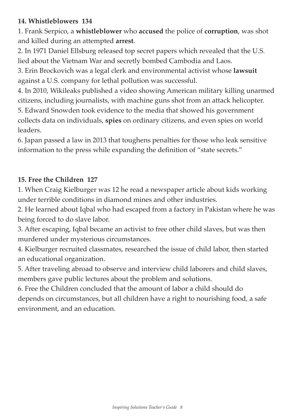### **14. Whistleblowers 134**

1. Frank Serpico, a **whistleblower** who **accused** the police of **corruption**, was shot and killed during an attempted **arrest**.

2. In 1971 Daniel Ellsburg released top secret papers which revealed that the U.S. lied about the Vietnam War and secretly bombed Cambodia and Laos.

3. Erin Brockovich was a legal clerk and environmental activist whose **lawsuit** against a U.S. company for lethal pollution was successful.

4. In 2010, Wikileaks published a video showing American military killing unarmed citizens, including journalists, with machine guns shot from an attack helicopter. 5. Edward Snowden took evidence to the media that showed his government collects data on individuals, **spies** on ordinary citizens, and even spies on world

leaders.

6. Japan passed a law in 2013 that toughens penalties for those who leak sensitive information to the press while expanding the definition of "state secrets."

## **15. Free the Children 127**

1. When Craig Kielburger was 12 he read a newspaper article about kids working under terrible conditions in diamond mines and other industries.

2. He learned about Iqbal who had escaped from a factory in Pakistan where he was being forced to do slave labor.

3. After escaping, Iqbal became an activist to free other child slaves, but was then murdered under mysterious circumstances.

4. Kielburger recruited classmates, researched the issue of child labor, then started an educational organization.

5. After traveling abroad to observe and interview child laborers and child slaves, members gave public lectures about the problem and solutions.

6. Free the Children concluded that the amount of labor a child should do depends on circumstances, but all children have a right to nourishing food, a safe environment, and an education.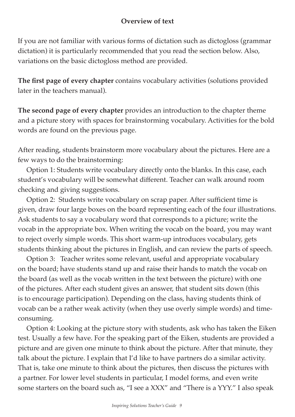## **Overview of text**

If you are not familiar with various forms of dictation such as dictogloss (grammar dictation) it is particularly recommended that you read the section below. Also, variations on the basic dictogloss method are provided.

**The first page of every chapter** contains vocabulary activities (solutions provided later in the teachers manual).

**The second page of every chapter** provides an introduction to the chapter theme and a picture story with spaces for brainstorming vocabulary. Activities for the bold words are found on the previous page.

After reading, students brainstorm more vocabulary about the pictures. Here are a few ways to do the brainstorming:

 Option 1: Students write vocabulary directly onto the blanks. In this case, each student's vocabulary will be somewhat different. Teacher can walk around room checking and giving suggestions.

 Option 2: Students write vocabulary on scrap paper. After sufficient time is given, draw four large boxes on the board representing each of the four illustrations. Ask students to say a vocabulary word that corresponds to a picture; write the vocab in the appropriate box. When writing the vocab on the board, you may want to reject overly simple words. This short warm-up introduces vocabulary, gets students thinking about the pictures in English, and can review the parts of speech.

 Option 3: Teacher writes some relevant, useful and appropriate vocabulary on the board; have students stand up and raise their hands to match the vocab on the board (as well as the vocab written in the text between the picture) with one of the pictures. After each student gives an answer, that student sits down (this is to encourage participation). Depending on the class, having students think of vocab can be a rather weak activity (when they use overly simple words) and timeconsuming.

 Option 4: Looking at the picture story with students, ask who has taken the Eiken test. Usually a few have. For the speaking part of the Eiken, students are provided a picture and are given one minute to think about the picture. After that minute, they talk about the picture. I explain that I'd like to have partners do a similar activity. That is, take one minute to think about the pictures, then discuss the pictures with a partner. For lower level students in particular, I model forms, and even write some starters on the board such as, "I see a XXX" and "There is a YYY." I also speak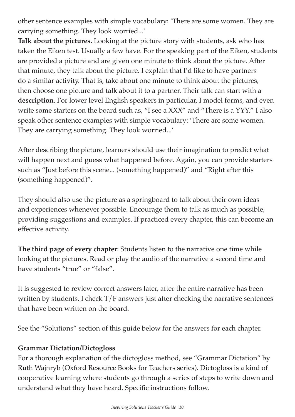other sentence examples with simple vocabulary: 'There are some women. They are carrying something. They look worried...'

**Talk about the pictures.** Looking at the picture story with students, ask who has taken the Eiken test. Usually a few have. For the speaking part of the Eiken, students are provided a picture and are given one minute to think about the picture. After that minute, they talk about the picture. I explain that I'd like to have partners do a similar activity. That is, take about one minute to think about the pictures, then choose one picture and talk about it to a partner. Their talk can start with a **description**. For lower level English speakers in particular, I model forms, and even write some starters on the board such as, "I see a XXX" and "There is a YYY." I also speak other sentence examples with simple vocabulary: 'There are some women. They are carrying something. They look worried...'

After describing the picture, learners should use their imagination to predict what will happen next and guess what happened before. Again, you can provide starters such as "Just before this scene... (something happened)" and "Right after this (something happened)".

They should also use the picture as a springboard to talk about their own ideas and experiences whenever possible. Encourage them to talk as much as possible, providing suggestions and examples. If practiced every chapter, this can become an effective activity.

**The third page of every chapter**: Students listen to the narrative one time while looking at the pictures. Read or play the audio of the narrative a second time and have students "true" or "false".

It is suggested to review correct answers later, after the entire narrative has been written by students. I check  $T/F$  answers just after checking the narrative sentences that have been written on the board.

See the "Solutions" section of this guide below for the answers for each chapter.

## **Grammar Dictation/Dictogloss**

For a thorough explanation of the dictogloss method, see "Grammar Dictation" by Ruth Wajnryb (Oxford Resource Books for Teachers series). Dictogloss is a kind of cooperative learning where students go through a series of steps to write down and understand what they have heard. Specific instructions follow.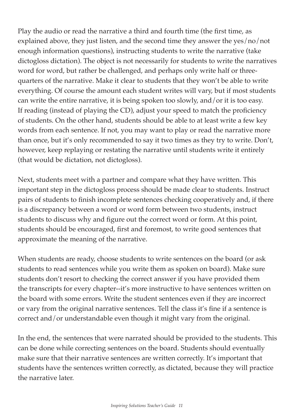Play the audio or read the narrative a third and fourth time (the first time, as explained above, they just listen, and the second time they answer the yes/no/not enough information questions), instructing students to write the narrative (take dictogloss dictation). The object is not necessarily for students to write the narratives word for word, but rather be challenged, and perhaps only write half or threequarters of the narrative. Make it clear to students that they won't be able to write everything. Of course the amount each student writes will vary, but if most students can write the entire narrative, it is being spoken too slowly, and/or it is too easy. If reading (instead of playing the CD), adjust your speed to match the proficiency of students. On the other hand, students should be able to at least write a few key words from each sentence. If not, you may want to play or read the narrative more than once, but it's only recommended to say it two times as they try to write. Don't, however, keep replaying or restating the narrative until students write it entirely (that would be dictation, not dictogloss).

Next, students meet with a partner and compare what they have written. This important step in the dictogloss process should be made clear to students. Instruct pairs of students to finish incomplete sentences checking cooperatively and, if there is a discrepancy between a word or word form between two students, instruct students to discuss why and figure out the correct word or form. At this point, students should be encouraged, first and foremost, to write good sentences that approximate the meaning of the narrative.

When students are ready, choose students to write sentences on the board (or ask students to read sentences while you write them as spoken on board). Make sure students don't resort to checking the correct answer if you have provided them the transcripts for every chapter--it's more instructive to have sentences written on the board with some errors. Write the student sentences even if they are incorrect or vary from the original narrative sentences. Tell the class it's fine if a sentence is correct and/or understandable even though it might vary from the original.

In the end, the sentences that were narrated should be provided to the students. This can be done while correcting sentences on the board. Students should eventually make sure that their narrative sentences are written correctly. It's important that students have the sentences written correctly, as dictated, because they will practice the narrative later.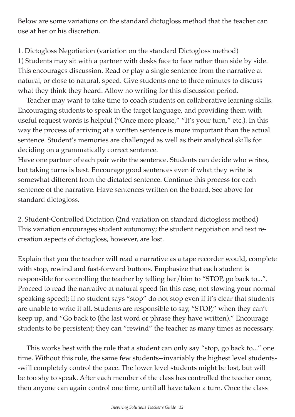Below are some variations on the standard dictogloss method that the teacher can use at her or his discretion.

1. Dictogloss Negotiation (variation on the standard Dictogloss method) 1) Students may sit with a partner with desks face to face rather than side by side. This encourages discussion. Read or play a single sentence from the narrative at natural, or close to natural, speed. Give students one to three minutes to discuss what they think they heard. Allow no writing for this discussion period.

 Teacher may want to take time to coach students on collaborative learning skills. Encouraging students to speak in the target language, and providing them with useful request words is helpful ("Once more please," "It's your turn," etc.). In this way the process of arriving at a written sentence is more important than the actual sentence. Student's memories are challenged as well as their analytical skills for deciding on a grammatically correct sentence.

Have one partner of each pair write the sentence. Students can decide who writes, but taking turns is best. Encourage good sentences even if what they write is somewhat different from the dictated sentence. Continue this process for each sentence of the narrative. Have sentences written on the board. See above for standard dictogloss.

2. Student-Controlled Dictation (2nd variation on standard dictogloss method) This variation encourages student autonomy; the student negotiation and text recreation aspects of dictogloss, however, are lost.

Explain that you the teacher will read a narrative as a tape recorder would, complete with stop, rewind and fast-forward buttons. Emphasize that each student is responsible for controlling the teacher by telling her/him to "STOP, go back to...". Proceed to read the narrative at natural speed (in this case, not slowing your normal speaking speed); if no student says "stop" do not stop even if it's clear that students are unable to write it all. Students are responsible to say, "STOP," when they can't keep up, and "Go back to (the last word or phrase they have written)." Encourage students to be persistent; they can "rewind" the teacher as many times as necessary.

 This works best with the rule that a student can only say "stop, go back to..." one time. Without this rule, the same few students--invariably the highest level students- -will completely control the pace. The lower level students might be lost, but will be too shy to speak. After each member of the class has controlled the teacher once, then anyone can again control one time, until all have taken a turn. Once the class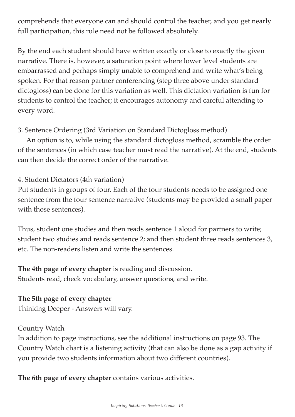comprehends that everyone can and should control the teacher, and you get nearly full participation, this rule need not be followed absolutely.

By the end each student should have written exactly or close to exactly the given narrative. There is, however, a saturation point where lower level students are embarrassed and perhaps simply unable to comprehend and write what's being spoken. For that reason partner conferencing (step three above under standard dictogloss) can be done for this variation as well. This dictation variation is fun for students to control the teacher; it encourages autonomy and careful attending to every word.

3. Sentence Ordering (3rd Variation on Standard Dictogloss method)

 An option is to, while using the standard dictogloss method, scramble the order of the sentences (in which case teacher must read the narrative). At the end, students can then decide the correct order of the narrative.

## 4. Student Dictators (4th variation)

Put students in groups of four. Each of the four students needs to be assigned one sentence from the four sentence narrative (students may be provided a small paper with those sentences).

Thus, student one studies and then reads sentence 1 aloud for partners to write; student two studies and reads sentence 2; and then student three reads sentences 3, etc. The non-readers listen and write the sentences.

### **The 4th page of every chapter** is reading and discussion. Students read, check vocabulary, answer questions, and write.

## **The 5th page of every chapter**

Thinking Deeper - Answers will vary.

#### Country Watch

In addition to page instructions, see the additional instructions on page 93. The Country Watch chart is a listening activity (that can also be done as a gap activity if you provide two students information about two different countries).

**The 6th page of every chapter** contains various activities.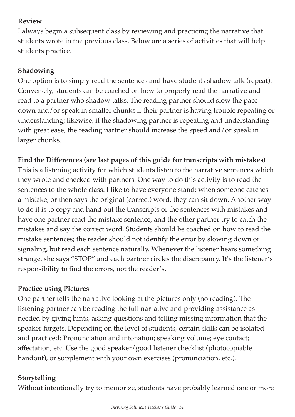## **Review**

I always begin a subsequent class by reviewing and practicing the narrative that students wrote in the previous class. Below are a series of activities that will help students practice.

## **Shadowing**

One option is to simply read the sentences and have students shadow talk (repeat). Conversely, students can be coached on how to properly read the narrative and read to a partner who shadow talks. The reading partner should slow the pace down and/or speak in smaller chunks if their partner is having trouble repeating or understanding; likewise; if the shadowing partner is repeating and understanding with great ease, the reading partner should increase the speed and/or speak in larger chunks.

## **Find the Differences (see last pages of this guide for transcripts with mistakes)**

This is a listening activity for which students listen to the narrative sentences which they wrote and checked with partners. One way to do this activity is to read the sentences to the whole class. I like to have everyone stand; when someone catches a mistake, or then says the original (correct) word, they can sit down. Another way to do it is to copy and hand out the transcripts of the sentences with mistakes and have one partner read the mistake sentence, and the other partner try to catch the mistakes and say the correct word. Students should be coached on how to read the mistake sentences; the reader should not identify the error by slowing down or signaling, but read each sentence naturally. Whenever the listener hears something strange, she says "STOP" and each partner circles the discrepancy. It's the listener's responsibility to find the errors, not the reader's.

## **Practice using Pictures**

One partner tells the narrative looking at the pictures only (no reading). The listening partner can be reading the full narrative and providing assistance as needed by giving hints, asking questions and telling missing information that the speaker forgets. Depending on the level of students, certain skills can be isolated and practiced: Pronunciation and intonation; speaking volume; eye contact; affectation, etc. Use the good speaker/good listener checklist (photocopiable handout), or supplement with your own exercises (pronunciation, etc.).

## **Storytelling**

Without intentionally try to memorize, students have probably learned one or more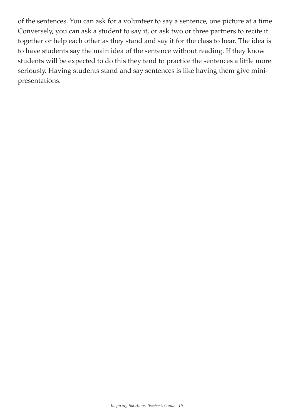of the sentences. You can ask for a volunteer to say a sentence, one picture at a time. Conversely, you can ask a student to say it, or ask two or three partners to recite it together or help each other as they stand and say it for the class to hear. The idea is to have students say the main idea of the sentence without reading. If they know students will be expected to do this they tend to practice the sentences a little more seriously. Having students stand and say sentences is like having them give minipresentations.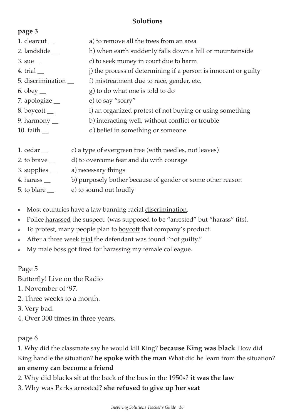### **Solutions**

| page 3                                |                                                                 |
|---------------------------------------|-----------------------------------------------------------------|
| 1. clearcut $\_\_$                    | a) to remove all the trees from an area                         |
| 2. landslide $\overline{\phantom{a}}$ | h) when earth suddenly falls down a hill or mountainside        |
| $3. \text{ sue}$                      | c) to seek money in court due to harm                           |
| 4. trial $\equiv$                     | j) the process of determining if a person is innocent or guilty |
| 5. discrimination __                  | f) mistreatment due to race, gender, etc.                       |
| 6. obey $\_\_$                        | g) to do what one is told to do                                 |
| 7. apologize $\equiv$                 | e) to say "sorry"                                               |
| 8. boycott $\_\_$                     | i) an organized protest of not buying or using something        |
| 9. harmony $\equiv$                   | b) interacting well, without conflict or trouble                |
| 10. faith $\overline{\phantom{a}}$    | d) belief in something or someone                               |
|                                       |                                                                 |
| 1. cedar $\_\_$                       | c) a type of evergreen tree (with needles, not leaves)          |
| 2. to brave $\equiv$                  | d) to overcome fear and do with courage                         |
| 3. supplies $\_\_$                    | a) necessary things                                             |
| 4. harass $\_\_$                      | b) purposely bother because of gender or some other reason      |
| 5. to blare $\overline{\phantom{0}}$  | e) to sound out loudly                                          |

- » Most countries have a law banning racial discrimination.
- » Police harassed the suspect. (was supposed to be "arrested" but "harass" fits).
- » To protest, many people plan to boycott that company's product.
- » After a three week trial the defendant was found "not guilty."
- » My male boss got fired for harassing my female colleague.

## Page 5

Butterfly! Live on the Radio

- 1. November of '97.
- 2. Three weeks to a month.
- 3. Very bad.
- 4. Over 300 times in three years.

## page 6

1. Why did the classmate say he would kill King? **because King was black** How did King handle the situation? **he spoke with the man** What did he learn from the situation? **an enemy can become a friend**

2. Why did blacks sit at the back of the bus in the 1950s? **it was the law**

3. Why was Parks arrested? **she refused to give up her seat**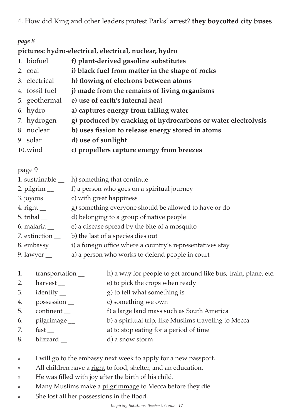4. How did King and other leaders protest Parks' arrest? **they boycotted city buses**

#### *page 8*

**pictures: hydro-electrical, electrical, nuclear, hydro**

- 1. biofuel **f) plant-derived gasoline substitutes** 2. coal **i) black fuel from matter in the shape of rocks** 3. electrical **h) flowing of electrons between atoms** 4. fossil fuel **j) made from the remains of living organisms** 5. geothermal **e) use of earth's internal heat** 6. hydro **a) captures energy from falling water** 7. hydrogen **g) produced by cracking of hydrocarbons or water electrolysis** 8. nuclear **b) uses fission to release energy stored in atoms**
- 9. solar **d) use of sunlight**
- 10.wind **c) propellers capture energy from breezes**

#### page 9

| 1. sustainable                     | h) something that continue                                 |
|------------------------------------|------------------------------------------------------------|
| 2. pilgrim $\_\_$                  | f) a person who goes on a spiritual journey                |
| $3.$ joyous $\_\_$                 | c) with great happiness                                    |
| 4. right $\_\_$                    | g) something everyone should be allowed to have or do      |
| 5. tribal $\overline{\phantom{a}}$ | d) belonging to a group of native people                   |
| 6. malaria __                      | e) a disease spread by the bite of a mosquito              |
| 7. extinction                      | b) the last of a species dies out                          |
| 8. embassy                         | i) a foreign office where a country's representatives stay |

- 9. lawyer \_\_ a) a person who works to defend people in court
- 1. transportation h) a way for people to get around like bus, train, plane, etc.
- 2. harvest \_\_ e) to pick the crops when ready
- 3. identify <u>example</u> and g) to tell what something is
- 4. possession \_\_ c) something we own
- 5. continent \_\_ f) a large land mass such as South America
- 6. pilgrimage \_\_ b) a spiritual trip, like Muslims traveling to Mecca
- 7. fast \_\_ a) to stop eating for a period of time
- 8. blizzard d) a snow storm
- » I will go to the embassy next week to apply for a new passport.
- » All children have a right to food, shelter, and an education.
- » He was filled with joy after the birth of his child.
- » Many Muslims make a pilgrimmage to Mecca before they die.
- » She lost all her possessions in the flood.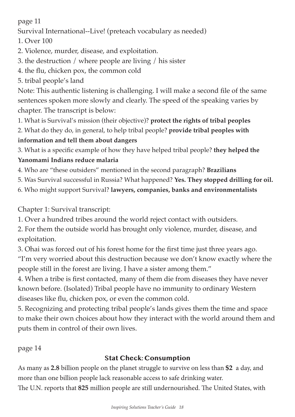page 11

Survival International--Live! (preteach vocabulary as needed)

1. Over 100

- 2. Violence, murder, disease, and exploitation.
- 3. the destruction / where people are living / his sister
- 4. the flu, chicken pox, the common cold
- 5. tribal people's land

Note: This authentic listening is challenging. I will make a second file of the same sentences spoken more slowly and clearly. The speed of the speaking varies by chapter. The transcript is below:

- 1. What is Survival's mission (their objective)? **protect the rights of tribal peoples**
- 2. What do they do, in general, to help tribal people? **provide tribal peoples with**

# **information and tell them about dangers**

3. What is a specific example of how they have helped tribal people? **they helped the** 

# **Yanomami Indians reduce malaria**

- 4. Who are "these outsiders" mentioned in the second paragraph? **Brazilians**
- 5. Was Survival successful in Russia? What happened? **Yes. They stopped drilling for oil.**
- 6. Who might support Survival? **lawyers, companies, banks and environmentalists**

# Chapter 1: Survival transcript:

1. Over a hundred tribes around the world reject contact with outsiders.

2. For them the outside world has brought only violence, murder, disease, and exploitation.

3. Ohai was forced out of his forest home for the first time just three years ago. "I'm very worried about this destruction because we don't know exactly where the people still in the forest are living. I have a sister among them."

4. When a tribe is first contacted, many of them die from diseases they have never known before. (Isolated) Tribal people have no immunity to ordinary Western diseases like flu, chicken pox, or even the common cold.

5. Recognizing and protecting tribal people's lands gives them the time and space to make their own choices about how they interact with the world around them and puts them in control of their own lives.

page 14

# **Stat Check: Consumption**

As many as **2.8** billion people on the planet struggle to survive on less than **\$2** a day, and more than one billion people lack reasonable access to safe drinking water. The U.N. reports that **825** million people are still undernourished. The United States, with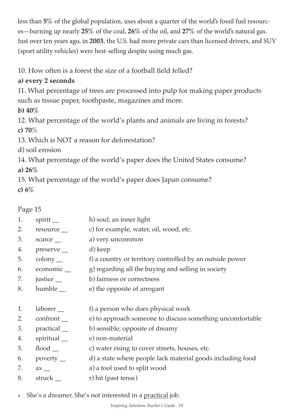less than **5%** of the global population, uses about a quarter of the world's fossil fuel resources—burning up nearly **25%** of the coal, **26%** of the oil, and **27%** of the world's natural gas. Just over ten years ago, in **2003**, the U.S. had more private cars than licensed drivers, and SUV (sport utility vehicles) were best-selling despite using much gas.

10. How often is a forest the size of a football field felled?

## **a) every 2 seconds**

11. What percentage of trees are processed into pulp for making paper products such as tissue paper, toothpaste, magazines and more.

**b) 40%** 

12. What percentage of the world's plants and animals are living in forests? **c) 70**%

13. Which is NOT a reason for deforestation?

d) soil erosion

14. What percentage of the world's paper does the United States consume? **a) 26%**

15. What percentage of the world's paper does Japan consume? **c) 6%**

Page 15

- 1. spirit h) soul; an inner light 2. resource <u>example</u>, water, oil, wood, etc. 3. scarce \_\_ a) very uncommon 4. preserve \_\_ d) keep 5. colony \_\_ f) a country or territory controlled by an outside power 6. economic \_\_ g) regarding all the buying and selling in society 7. justice b) fairness or correctness 8. humble <u>ext</u> be the opposite of arrogant 1. laborer <u>ext</u> f) a person who does physical work 2. confront e) to approach someone to discuss something uncomfortable 3. practical b) sensible; opposite of dreamy 4. spiritual e) non-material 5. flood \_\_ c) water rising to cover streets, houses, etc. 6. poverty \_\_ d) a state where people lack material goods including food 7. ax \_\_ a) a tool used to split wood 8. struck \_\_ r) hit (past tense)
- » She's a dreamer. She's not interested in a practical job.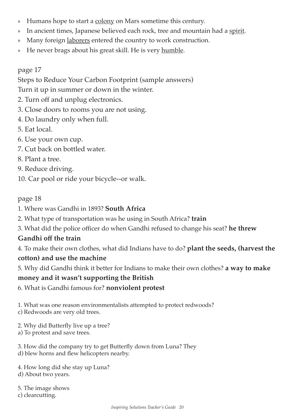- » Humans hope to start a colony on Mars sometime this century.
- » In ancient times, Japanese believed each rock, tree and mountain had a spirit.
- » Many foreign laborers entered the country to work construction.
- » He never brags about his great skill. He is very humble.

## page 17

Steps to Reduce Your Carbon Footprint (sample answers)

Turn it up in summer or down in the winter.

- 2. Turn off and unplug electronics.
- 3. Close doors to rooms you are not using.
- 4. Do laundry only when full.
- 5. Eat local.
- 6. Use your own cup.
- 7. Cut back on bottled water.
- 8. Plant a tree.
- 9. Reduce driving.
- 10. Car pool or ride your bicycle--or walk.

#### page 18

- 1. Where was Gandhi in 1893? **South Africa**
- 2. What type of transportation was he using in South Africa? **train**
- 3. What did the police officer do when Gandhi refused to change his seat? **he threw**

## **Gandhi off the train**

4. To make their own clothes, what did Indians have to do? **plant the seeds, (harvest the cotton) and use the machine**

5. Why did Gandhi think it better for Indians to make their own clothes? **a way to make** 

## **money and it wasn't supporting the British**

6. What is Gandhi famous for? **nonviolent protest**

1. What was one reason environmentalists attempted to protect redwoods? c) Redwoods are very old trees.

2. Why did Butterfly live up a tree?

- a) To protest and save trees.
- 3. How did the company try to get Butterfly down from Luna? They d) blew horns and flew helicopters nearby.

4. How long did she stay up Luna? d) About two years.

5. The image shows c) clearcutting.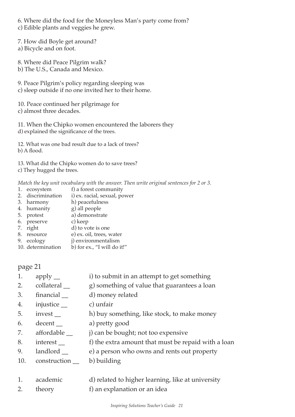6. Where did the food for the Moneyless Man's party come from?

c) Edible plants and veggies he grew.

7. How did Boyle get around?

a) Bicycle and on foot.

8. Where did Peace Pilgrim walk?

b) The U.S., Canada and Mexico.

9. Peace Pilgrim's policy regarding sleeping was c) sleep outside if no one invited her to their home.

10. Peace continued her pilgrimage for c) almost three decades.

11. When the Chipko women encountered the laborers they d) explained the significance of the trees.

12. What was one bad result due to a lack of trees? b) A flood.

13. What did the Chipko women do to save trees? c) They hugged the trees.

*Match the key unit vocabulary with the answer. Then write original sentences for 2 or 3.*

- 1. ecosystem f) a forest community<br>2. discrimination i) ex. racial, sexual, po
- i) ex. racial, sexual, power
- 3. harmony h) peacefulness
- 4. humanity g) all people
- 5. protest a) demonstrate
- 6. preserve
- 7. right d) to vote is one
- 8. resource e) ex. oil, trees, water
- 9. ecology j) environmentalism 10. determination b) for ex., "I will do it!"

page 21

| i) to submit in an attempt to get something<br>apply $\_\_$ |  |
|-------------------------------------------------------------|--|
|-------------------------------------------------------------|--|

- 2. collateral g) something of value that guarantees a loan
- 3. financial \_\_ d) money related
- 4. injustice \_\_ c) unfair
- 5. invest h) buy something, like stock, to make money
- 6. decent \_\_ a) pretty good
- 7. affordable  $\qquad$  j) can be bought; not too expensive
- 8. interest \_\_ f) the extra amount that must be repaid with a loan
- 9. landlord e) a person who owns and rents out property
- 10. construction b) building
- 1. academic d) related to higher learning, like at university
- 2. theory f) an explanation or an idea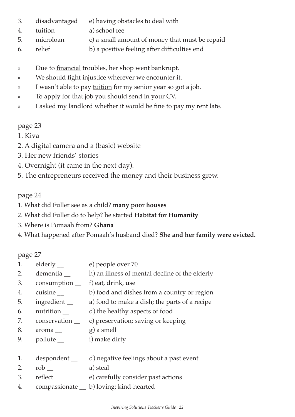- 3. disadvantaged e) having obstacles to deal with
- 4. tuition a) school fee
- 5. microloan c) a small amount of money that must be repaid
- 6. relief b) a positive feeling after difficulties end
- » Due to financial troubles, her shop went bankrupt.
- » We should fight injustice wherever we encounter it.
- » I wasn't able to pay <u>tuition</u> for my senior year so got a job.
- » To apply for that job you should send in your CV.
- » I asked my landlord whether it would be fine to pay my rent late.

## page 23

- 1. Kiva
- 2. A digital camera and a (basic) website
- 3. Her new friends' stories
- 4. Overnight (it came in the next day).
- 5. The entrepreneurs received the money and their business grew.

## page 24

- 1. What did Fuller see as a child? **many poor houses**
- 2. What did Fuller do to help? he started **Habitat for Humanity**
- 3. Where is Pomaah from? **Ghana**
- 4. What happened after Pomaah's husband died? **She and her family were evicted.**

page 27

- 1. elderly e) people over 70
- 2. dementia h) an illness of mental decline of the elderly
- 3. consumption \_\_ f) eat, drink, use
- 4. cuisine b) food and dishes from a country or region
- 5. ingredient \_\_ a) food to make a dish; the parts of a recipe
- 6. nutrition \_\_ d) the healthy aspects of food
- 7. conservation \_\_ c) preservation; saving or keeping
- 8. aroma g) a smell
- 9. pollute i) make dirty
- 1. despondent \_ d) negative feelings about a past event
- 2. rob a) steal
- 3. reflect\_\_ e) carefully consider past actions
- 4. compassionate \_\_ b) loving; kind-hearted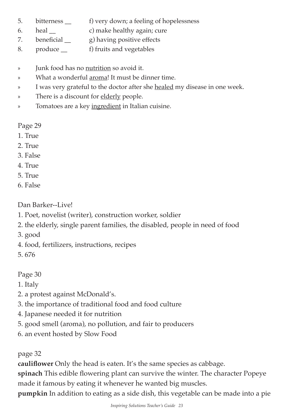- 5. bitterness \_\_ f) very down; a feeling of hopelessness
- 6. heal \_\_ c) make healthy again; cure
- 7. beneficial g) having positive effects
- 8. produce <u>same</u> f) fruits and vegetables
- » Junk food has no nutrition so avoid it.
- » What a wonderful aroma! It must be dinner time.
- » I was very grateful to the doctor after she healed my disease in one week.
- » There is a discount for elderly people.
- » Tomatoes are a key ingredient in Italian cuisine.

Page 29

- 1. True
- $2$  True
- 3. False
- 4. True
- 5. True
- 6. False

Dan Barker--Live!

- 1. Poet, novelist (writer), construction worker, soldier
- 2. the elderly, single parent families, the disabled, people in need of food

3. good

4. food, fertilizers, instructions, recipes

5. 676

Page 30

1. Italy

- 2. a protest against McDonald's.
- 3. the importance of traditional food and food culture
- 4. Japanese needed it for nutrition
- 5. good smell (aroma), no pollution, and fair to producers
- 6. an event hosted by Slow Food

page 32

**cauliflower** Only the head is eaten. It's the same species as cabbage.

**spinach** This edible flowering plant can survive the winter. The character Popeye made it famous by eating it whenever he wanted big muscles.

**pumpkin** In addition to eating as a side dish, this vegetable can be made into a pie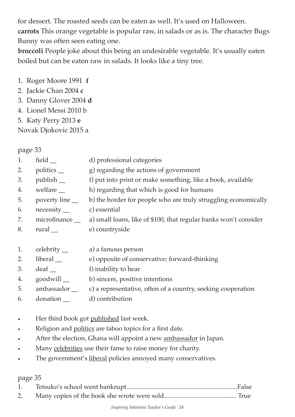for dessert. The roasted seeds can be eaten as well. It's used on Halloween. **carrots** This orange vegetable is popular raw, in salads or as is. The character Bugs Bunny was often seen eating one.

**broccoli** People joke about this being an undesirable vegetable. It's usually eaten boiled but can be eaten raw in salads. It looks like a tiny tree.

- 1. Roger Moore 1991 **f**
- 2. Jackie Chan 2004 **c**
- 3. Danny Glover 2004 **d**
- 4. Lionel Messi 2010 b
- 5. Katy Perry 2013 **e**

Novak Djokovic 2015 a

## page 33

- 1. field \_\_ d) professional categories
- 2. politics g) regarding the actions of government
- 3. publish \_\_ f) put into print or make something, like a book, available
- 4. welfare h) regarding that which is good for humans
- 5. poverty line  $\qquad \qquad$  b) the border for people who are truly struggling economically 6. necessity \_\_ c) essential
- 7. microfinance \_\_ a) small loans, like of \$100, that regular banks won't consider
- 8. rural e) countryside
- 1. celebrity \_\_ a) a famous person
- 2. liberal e) opposite of conservative; forward-thinking
- 3. deaf f) inability to hear
- 4. goodwill b) sincere, positive intentions
- 5. ambassador \_\_ c) a representative, often of a country, seeking cooperation
- 6. donation \_\_ d) contribution
- Her third book got published last week.
- Religion and politics are taboo topics for a first date.
- After the election, Ghana will appoint a new ambassador in Japan.
- Many celebrities use their fame to raise money for charity.
- The government's <u>liberal</u> policies annoyed many conservatives.

#### page 35

- 1. Tetsuko's school went bankrupt.....................................................................False
- 2. Many copies of the book she wrote were sold............................................. True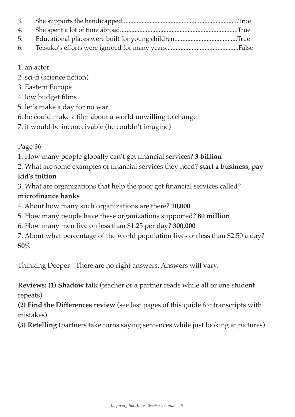#### 1. an actor

- 2. sci-fi (science fiction)
- 3. Eastern Europe
- 4. low budget films
- 5. let's make a day for no war
- 6. he could make a film about a world unwilling to change
- 7. it would be inconceivable (he couldn't imagine)

Page 36

- 1. How many people globally can't get financial services? **3 billion**
- 2. What are some examples of financial services they need? **start a business, pay**

## **kid's tuition**

3. What are organizations that help the poor get financial services called?

## **microfinance banks**

- 4. About how many such organizations are there? **10,000**
- 5. How many people have these organizations supported? **80 million**
- 6. How many men live on less than \$1.25 per day? **300,000**

7. About what percentage of the world population lives on less than \$2.50 a day? **50%** 

Thinking Deeper - There are no right answers. Answers will vary.

**Reviews: (1) Shadow talk** (teacher or a partner reads while all or one student repeats)

**(2) Find the Differences review** (see last pages of this guide for transcripts with mistakes)

**(3) Retelling** (partners take turns saying sentences while just looking at pictures)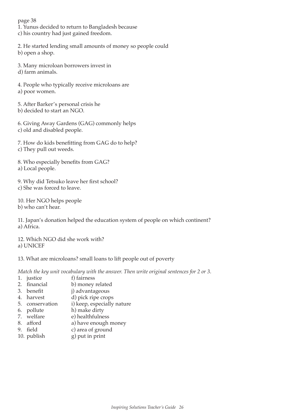page 38 1. Yunus decided to return to Bangladesh because c) his country had just gained freedom.

2. He started lending small amounts of money so people could b) open a shop.

3. Many microloan borrowers invest in d) farm animals.

4. People who typically receive microloans are a) poor women.

5. After Barker's personal crisis he b) decided to start an NGO.

6. Giving Away Gardens (GAG) commonly helps c) old and disabled people.

7. How do kids benefitting from GAG do to help? c) They pull out weeds.

8. Who especially benefits from GAG? a) Local people.

9. Why did Tetsuko leave her first school? c) She was forced to leave.

10. Her NGO helps people b) who can't hear.

11. Japan's donation helped the education system of people on which continent? a) Africa.

12. Which NGO did she work with? a) UNICEF

#### 13. What are microloans? small loans to lift people out of poverty

*Match the key unit vocabulary with the answer. Then write original sentences for 2 or 3.*

- 1. justice f) fairness
- 
- 2. financial b) money related<br>3 benefit i) advantageous j) advantageous
- 4. harvest d) pick ripe crops
- 5. conservation i) keep, especially nature
- 
- 6. pollute h) make dirty<br>
7. welfare e) healthfulne
- 7. welfare e) healthfulness<br>8. afford a) have enough a) have enough money
- 
- 9. field c) area of ground 10. publish g) put in print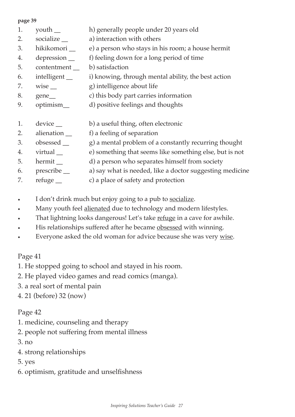#### **page 39**

- 1. youth h) generally people under 20 years old
- 2. socialize a) interaction with others
- 3. hikikomori \_\_ e) a person who stays in his room; a house hermit
- 4. depression f) feeling down for a long period of time
- 5. contentment b) satisfaction
- 6. intelligent \_\_ i) knowing, through mental ability, the best action
- 7. wise <u>q</u>) intelligence about life
- 8. gene\_\_ c) this body part carries information
- 9. optimism\_ d) positive feelings and thoughts
- 1. device b) a useful thing, often electronic
- 2. alienation \_\_ f) a feeling of separation
- 3. obsessed \_\_ g) a mental problem of a constantly recurring thought
- 4. virtual e) something that seems like something else, but is not
- 5. hermit \_\_ d) a person who separates himself from society
- 6. prescribe \_\_ a) say what is needed, like a doctor suggesting medicine
- 7. refuge  $\qquad$  c) a place of safety and protection
- I don't drink much but enjoy going to a pub to <u>socialize</u>.
- Many youth feel alienated due to technology and modern lifestyles.
- That lightning looks dangerous! Let's take refuge in a cave for awhile.
- His relationships suffered after he became obsessed with winning.
- Everyone asked the old woman for advice because she was very <u>wise</u>.

#### Page 41

- 1. He stopped going to school and stayed in his room.
- 2. He played video games and read comics (manga).
- 3. a real sort of mental pain
- 4. 21 (before) 32 (now)

#### Page 42

- 1. medicine, counseling and therapy
- 2. people not suffering from mental illness
- 3. no
- 4. strong relationships
- 5. yes
- 6. optimism, gratitude and unselfishness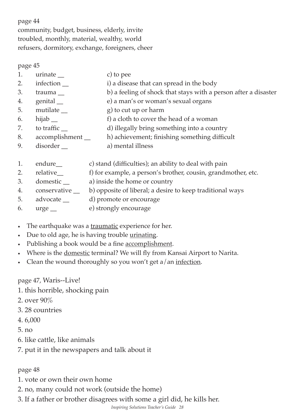page 44 community, budget, business, elderly, invite troubled, monthly, material, wealthy, world refusers, dormitory, exchange, foreigners, cheer

page 45

- 1. urinate c) to pee
- 2. infection \_\_ i) a disease that can spread in the body
- 3. trauma \_\_ b) a feeling of shock that stays with a person after a disaster
- 4. genital \_\_ e) a man's or woman's sexual organs
- 5. mutilate  $\qquad \qquad$  g) to cut up or harm
- 6. hijab \_\_ f) a cloth to cover the head of a woman
- 7. to traffic \_\_ d) illegally bring something into a country
- 8. accomplishment \_\_ h) achievement; finishing something difficult
- 9. disorder a) mental illness
- 1. endure\_\_ c) stand (difficulties); an ability to deal with pain
- 2. relative f) for example, a person's brother, cousin, grandmother, etc.
- 3. domestic a) inside the home or country
- 4. conservative  $\_\_$ b) opposite of liberal; a desire to keep traditional ways
- 5. advocate \_\_ d) promote or encourage
- 6. urge \_\_ e) strongly encourage
- The earthquake was a <u>traumatic</u> experience for her.
- Due to old age, he is having trouble <u>urinating</u>.
- Publishing a book would be a fine <u>accomplishment</u>.
- Where is the *domestic* terminal? We will fly from Kansai Airport to Narita.
- Clean the wound thoroughly so you won't get a/an <u>infection</u>.

#### page 47, Waris--Live!

- 1. this horrible, shocking pain
- 2. over 90%
- 3. 28 countries
- 4. 6,000
- 5. no
- 6. like cattle, like animals
- 7. put it in the newspapers and talk about it

#### page 48

- 1. vote or own their own home
- 2. no, many could not work (outside the home)
- 3. If a father or brother disagrees with some a girl did, he kills her.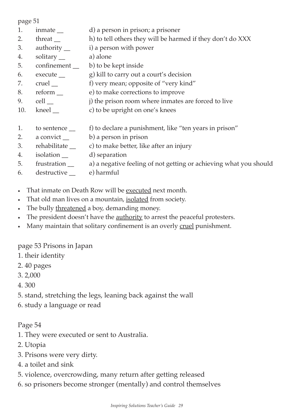page 51

- 1. inmate d) a person in prison; a prisoner
- 2. threat h) to tell others they will be harmed if they don't do XXX
- 3. authority \_\_ i) a person with power
- 4. solitary a) alone
- 5. confinement \_ b) to be kept inside
- 6. execute \_\_ g) kill to carry out a court's decision
- 7. cruel f) very mean; opposite of "very kind"
- 8. reform e) to make corrections to improve
- 9. cell <u>quality</u> is get in prison room where inmates are forced to live
- 10. kneel \_\_ c) to be upright on one's knees
- 1. to sentence  $\qquad$  f) to declare a punishment, like "ten years in prison"
- 2. a convict \_\_ b) a person in prison
- 3. rehabilitate \_\_ c) to make better, like after an injury
- 4. isolation d) separation
- 5. frustration \_\_ a) a negative feeling of not getting or achieving what you should
- 6. destructive \_\_ e) harmful
- That inmate on Death Row will be executed next month.
- That old man lives on a mountain, isolated from society.
- The bully threatened a boy, demanding money.
- The president doesn't have the **authority** to arrest the peaceful protesters.
- Many maintain that solitary confinement is an overly cruel punishment.

## page 53 Prisons in Japan

- 1. their identity
- 2. 40 pages
- 3. 2,000
- 4. 300
- 5. stand, stretching the legs, leaning back against the wall
- 6. study a language or read

## Page 54

- 1. They were executed or sent to Australia.
- 2. Utopia
- 3. Prisons were very dirty.
- 4. a toilet and sink
- 5. violence, overcrowding, many return after getting released
- 6. so prisoners become stronger (mentally) and control themselves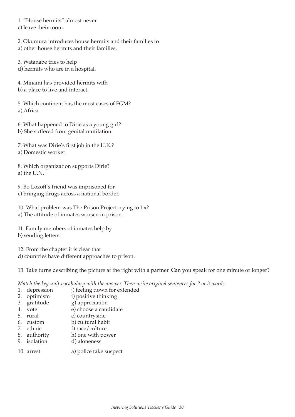1. "House hermits" almost never

c) leave their room.

- 2. Okumura introduces house hermits and their families to a) other house hermits and their families.
- 3. Watanabe tries to help d) hermits who are in a hospital.
- 4. Minami has provided hermits with
- b) a place to live and interact.
- 5. Which continent has the most cases of FGM? a) Africa

6. What happened to Dirie as a young girl? b) She suffered from genital mutilation.

7. What was Dirie's first job in the U.K.? a) Domestic worker

8. Which organization supports Dirie? a) the U.N.

9. Bo Lozoff's friend was imprisoned for c) bringing drugs across a national border.

10. What problem was The Prison Project trying to fix? a) The attitude of inmates worsen in prison.

11. Family members of inmates help by b) sending letters.

12. From the chapter it is clear that

d) countries have different approaches to prison.

13. Take turns describing the picture at the right with a partner. Can you speak for one minute or longer?

*Match the key unit vocabulary with the answer. Then write original sentences for 2 or 3 words.*

- 1. depression i) feeling down for extended
- 2. optimism i) positive thinking
- 3. gratitude g) appreciation
- 4. vote e) choose a candidate
- 5. rural c) countryside
- 
- 6. custom b) cultural habit<br>
7. ethnic f) race/culture f) race/culture
- 8. authority h) one with power<br>9. isolation d) aloneness
- d) aloneness
- 10. arrest a) police take suspect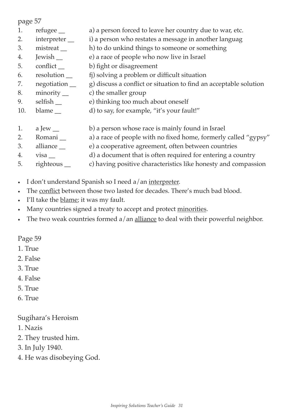page 57

- 1. refugee \_\_ a) a person forced to leave her country due to war, etc.
- 2. interpreter \_ i) a person who restates a message in another languag
- 3. mistreat  $\qquad$  h) to do unkind things to someone or something
- 4. Jewish e) a race of people who now live in Israel
- 5. conflict \_\_ b) fight or disagreement
- 6. resolution \_\_ fj) solving a problem or difficult situation
- 7. negotiation \_\_ g) discuss a conflict or situation to find an acceptable solution
- 8. minority \_\_ c) the smaller group
- 9. selfish e) thinking too much about oneself
- 10. blame \_\_ d) to say, for example, "it's your fault!"
- 1. a Jew  $\Box$  b) a person whose race is mainly found in Israel
- 2. Romani \_\_ a) a race of people with no fixed home, formerly called "gypsy"
- 3. alliance e) a cooperative agreement, often between countries
- 4. visa \_\_ d) a document that is often required for entering a country
- 5. righteous \_\_ c) having positive characteristics like honesty and compassion
- I don't understand Spanish so I need a/an interpreter.
- The conflict between those two lasted for decades. There's much bad blood.
- I'll take the <u>blame</u>; it was my fault.
- Many countries signed a treaty to accept and protect minorities.
- The two weak countries formed a/an alliance to deal with their powerful neighbor.

#### Page 59

- 1. True
- 2. False
- 3. True
- 4. False
- 5. True
- 6. True

## Sugihara's Heroism

- 1. Nazis
- 2. They trusted him.
- 3. In July 1940.
- 4. He was disobeying God.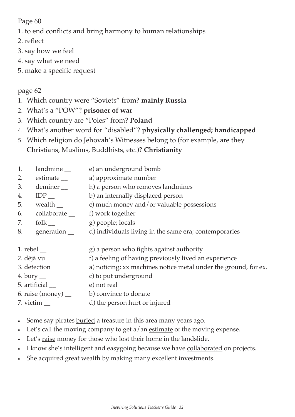Page 60

1. to end conflicts and bring harmony to human relationships

- 2. reflect
- 3. say how we feel
- 4. say what we need
- 5. make a specific request

## page 62

- 1. Which country were "Soviets" from? **mainly Russia**
- 2. What's a "POW"? **prisoner of war**
- 3. Which country are "Poles" from? **Poland**
- 4. What's another word for "disabled"? **physically challenged; handicapped**
- 5. Which religion do Jehovah's Witnesses belong to (for example, are they Christians, Muslims, Buddhists, etc.)? **Christianity**
- 1. landmine <u>e</u> e) an underground bomb
- 2. estimate \_\_ a) approximate number
- 3. deminer h) a person who removes landmines
- 4. **IDP** b) an internally displaced person
- 5. wealth  $\angle$  c) much money and/or valuable possessions
- 6. collaborate \_\_ f) work together
- 7. folk g) people; locals
- 8. generation \_ d) individuals living in the same era; contemporaries
- 1. rebel \_\_ external contact a person who fights against authority
- 2. déjà vu \_\_ f) a feeling of having previously lived an experience
- 3. detection \_\_ a) noticing; xx machines notice metal under the ground, for ex.
- 4. bury \_\_ c) to put underground
- 5. artificial \_\_ e) not real
- 6. raise  $(money)$  b) convince to donate
- 7. victim \_\_ d) the person hurt or injured
- Some say pirates <u>buried</u> a treasure in this area many years ago.
- Let's call the moving company to get  $a/an$  estimate of the moving expense.
- Let's raise money for those who lost their home in the landslide.
- I know she's intelligent and easygoing because we have <u>collaborated</u> on projects.
- She acquired great wealth by making many excellent investments.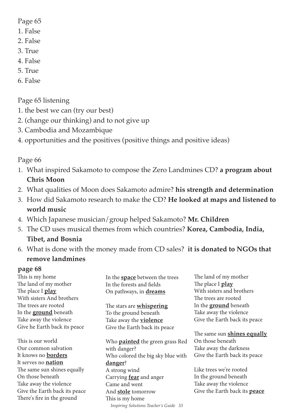Page 65

- 1. False
- 2. False
- 3. True
- 4. False
- 5. True
- 6. False

Page 65 listening

- 1. the best we can (try our best)
- 2. (change our thinking) and to not give up
- 3. Cambodia and Mozambique
- 4. opportunities and the positives (positive things and positive ideas)

Page 66

- 1. What inspired Sakamoto to compose the Zero Landmines CD? **a program about Chris Moon**
- 2. What qualities of Moon does Sakamoto admire? **his strength and determination**
- 3. How did Sakamoto research to make the CD? **He looked at maps and listened to world music**
- 4. Which Japanese musician/group helped Sakamoto? **Mr. Children**
- 5. The CD uses musical themes from which countries? **Korea, Cambodia, India, Tibet, and Bosnia**
- 6. What is done with the money made from CD sales? **it is donated to NGOs that remove landmines**

#### **page 68**

This is my home The land of my mother The place I **play** With sisters And brothers The trees are rooted In the **ground** beneath Take away the violence Give he Earth back its peace

This is our world Our common salvation It knows no **borders** It serves no **nation** The same sun shines equally On those beneath Take away the violence Give the Earth back its peace There's fire in the ground

In the **space** between the trees In the forests and fields On pathways, in **dreams**

The stars are **whispering** To the ground beneath Take away the **violence** Give the Earth back its peace

*Inspiring Solutions Teacher's Guide 33* Who **painted** the green grass Red with danger? Who colored the big sky blue with **danger**? A strong wind Carrying **fear** and anger Came and went And **stole** tomorrow This is my home

The land of my mother The place I **play** With sisters and brothers The trees are rooted In the **ground** beneath Take away the violence Give the Earth back its peace

The same sun **shines equally** On those beneath Take away the darkness Give the Earth back its peace

Like trees we're rooted In the ground beneath Take away the violence Give the Earth back its **peace**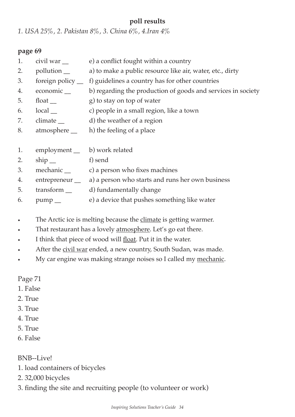#### **poll results**

*1. USA 25%, 2. Pakistan 8%, 3. China 6%, 4.Iran 4%*

#### **page 69**

- 1. civil war <u>e</u>) a conflict fought within a country
- 2. pollution \_\_ a) to make a public resource like air, water, etc., dirty
- 3. foreign policy \_\_ f) guidelines a country has for other countries
- 4. economic b) regarding the production of goods and services in society
- 5. float  $g)$  to stay on top of water
- 6. local \_\_ c) people in a small region, like a town
- 7. climate \_\_ d) the weather of a region
- 8. atmosphere h) the feeling of a place
- 1. employment \_ b) work related
- 2. ship f) send
- 3. mechanic \_ c) a person who fixes machines
- 4. entrepreneur \_\_ a) a person who starts and runs her own business
- 5. transform \_\_ d) fundamentally change
- 6. pump e) a device that pushes something like water
- The Arctic ice is melting because the climate is getting warmer.
- That restaurant has a lovely <u>atmosphere</u>. Let's go eat there.
- I think that piece of wood will float. Put it in the water.
- After the civil war ended, a new country, South Sudan, was made.
- My car engine was making strange noises so I called my mechanic.

Page 71

- 1. False
- 2. True
- 3. True
- 4. True
- 5. True
- 6. False

BNB--Live!

- 1. load containers of bicycles
- 2. 32,000 bicycles
- 3. finding the site and recruiting people (to volunteer or work)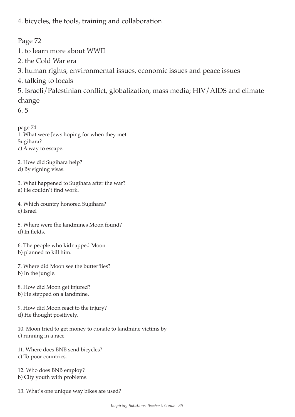4. bicycles, the tools, training and collaboration

Page 72

- 1. to learn more about WWII
- 2. the Cold War era
- 3. human rights, environmental issues, economic issues and peace issues
- 4. talking to locals

5. Israeli/Palestinian conflict, globalization, mass media; HIV/AIDS and climate change

6. 5

page 74 1. What were Jews hoping for when they met Sugihara? c) A way to escape.

2. How did Sugihara help? d) By signing visas.

3. What happened to Sugihara after the war? a) He couldn't find work.

4. Which country honored Sugihara? c) Israel

5. Where were the landmines Moon found? d) In fields.

6. The people who kidnapped Moon b) planned to kill him.

7. Where did Moon see the butterflies? b) In the jungle.

8. How did Moon get injured? b) He stepped on a landmine.

9. How did Moon react to the injury? d) He thought positively.

10. Moon tried to get money to donate to landmine victims by c) running in a race.

11. Where does BNB send bicycles? c) To poor countries.

12. Who does BNB employ? b) City youth with problems.

13. What's one unique way bikes are used?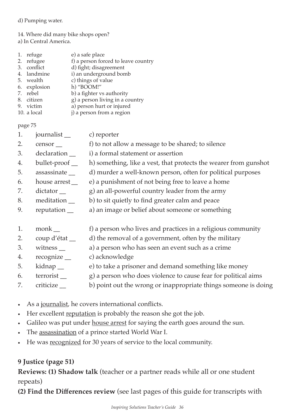#### d) Pumping water.

#### 14. Where did many bike shops open?

a) In Central America.

- 1. refuge e) a safe place 2. refugee f) a person forced to leave country 3. conflict d) fight; disagreement<br>4. landmine i) an underground bon
- i) an underground bomb
- 5. wealth c) things of value
- 6. explosion h) "BOOM!"
- 7. rebel b) a fighter vs authority
- 8. citizen g) a person living in a country
- 9. victim a) person hurt or injured
- 10. a local **j**) a person from a region

page 75

- 1. journalist \_\_ c) reporter
- 2. censor f) to not allow a message to be shared; to silence
- 3. declaration \_\_ i) a formal statement or assertion
- 4. bullet-proof \_\_ h) something, like a vest, that protects the wearer from gunshot
- 5. assassinate \_ d) murder a well-known person, often for political purposes
- 6. house arrest \_\_ e) a punishment of not being free to leave a home
- 7. dictator  $\qquad \qquad$  g) an all-powerful country leader from the army
- 8. meditation  $\qquad$  b) to sit quietly to find greater calm and peace
- 9. reputation \_\_ a) an image or belief about someone or something
- 1. monk <u>extend</u> the person who lives and practices in a religious community
- 2. coup d'état \_\_ d) the removal of a government, often by the military
- 3. witness \_\_ a) a person who has seen an event such as a crime
- 4. recognize c) acknowledge
- 5. kidnap e) to take a prisoner and demand something like money
- 6. terrorist \_\_ g) a person who does violence to cause fear for political aims
- 7. criticize \_\_ b) point out the wrong or inappropriate things someone is doing
- As a journalist, he covers international conflicts.
- Her excellent reputation is probably the reason she got the job.
- Galileo was put under house arrest for saying the earth goes around the sun.
- The assassination of a prince started World War I.
- He was recognized for 30 years of service to the local community.

## **9 Justice (page 51)**

**Reviews: (1) Shadow talk** (teacher or a partner reads while all or one student repeats)

**(2) Find the Differences review** (see last pages of this guide for transcripts with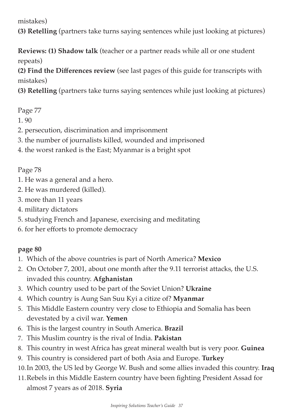mistakes)

**(3) Retelling** (partners take turns saying sentences while just looking at pictures)

**Reviews: (1) Shadow talk** (teacher or a partner reads while all or one student repeats)

**(2) Find the Differences review** (see last pages of this guide for transcripts with mistakes)

**(3) Retelling** (partners take turns saying sentences while just looking at pictures)

## Page 77

- 1. 90
- 2. persecution, discrimination and imprisonment
- 3. the number of journalists killed, wounded and imprisoned
- 4. the worst ranked is the East; Myanmar is a bright spot

## Page 78

- 1. He was a general and a hero.
- 2. He was murdered (killed).
- 3. more than 11 years
- 4. military dictators
- 5. studying French and Japanese, exercising and meditating
- 6. for her efforts to promote democracy

## **page 80**

- 1. Which of the above countries is part of North America? **Mexico**
- 2. On October 7, 2001, about one month after the 9.11 terrorist attacks, the U.S. invaded this country. **Afghanistan**
- 3. Which country used to be part of the Soviet Union? **Ukraine**
- 4. Which country is Aung San Suu Kyi a citize of? **Myanmar**
- 5. This Middle Eastern country very close to Ethiopia and Somalia has been devestated by a civil war. **Yemen**
- 6. This is the largest country in South America. **Brazil**
- 7. This Muslim country is the rival of India. **Pakistan**
- 8. This country in west Africa has great mineral wealth but is very poor. **Guinea**
- 9. This country is considered part of both Asia and Europe. **Turkey**
- 10.In 2003, the US led by George W. Bush and some allies invaded this country. **Iraq**
- 11.Rebels in this Middle Eastern country have been fighting President Assad for almost 7 years as of 2018. **Syria**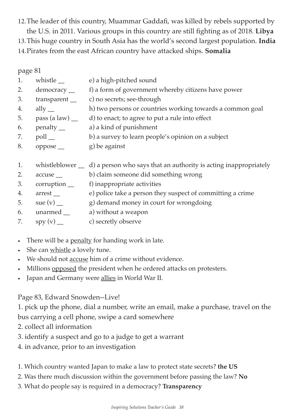12.The leader of this country, Muammar Gaddafi, was killed by rebels supported by the U.S. in 2011. Various groups in this country are still fighting as of 2018. **Libya** 13.This huge country in South Asia has the world's second largest population. **India** 14.Pirates from the east African country have attacked ships. **Somalia**

page 81

- 1. whistle <u>e</u> e) a high-pitched sound 2. democracy \_\_ f) a form of government whereby citizens have power 3. transparent \_\_ c) no secrets; see-through 4. ally \_\_ h) two persons or countries working towards a common goal 5. pass (a law) \_\_ d) to enact; to agree to put a rule into effect 6. penalty \_\_ a) a kind of punishment 7. poll \_\_ b) a survey to learn people's opinion on a subject
- 8. oppose \_\_ g) be against
- 1. whistleblower  $\equiv$  d) a person who says that an authority is acting inappropriately
- 2. accuse <u>section</u> b) claim someone did something wrong
- 3. corruption f) inappropriate activities
- 4. arrest <u>e</u>) police take a person they suspect of committing a crime
- 5. sue  $(v)$  g) demand money in court for wrongdoing
- 6. unarmed \_\_ a) without a weapon
- 7.  $spy(v)$  c) secretly observe
- There will be a <u>penalty</u> for handing work in late.
- She can whistle a lovely tune.
- We should not accuse him of a crime without evidence.
- Millions opposed the president when he ordered attacks on protesters.
- Japan and Germany were allies in World War II.

Page 83, Edward Snowden--Live!

1. pick up the phone, dial a number, write an email, make a purchase, travel on the bus carrying a cell phone, swipe a card somewhere

- 2. collect all information
- 3. identify a suspect and go to a judge to get a warrant
- 4. in advance, prior to an investigation
- 1. Which country wanted Japan to make a law to protect state secrets? **the US**
- 2. Was there much discussion within the government before passing the law? **No**
- 3. What do people say is required in a democracy? **Transparency**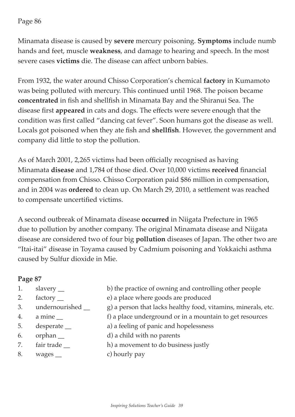#### Page 86

Minamata disease is caused by **severe** mercury poisoning. **Symptoms** include numb hands and feet, muscle **weakness**, and damage to hearing and speech. In the most severe cases **victims** die. The disease can affect unborn babies.

From 1932, the water around Chisso Corporation's chemical **factory** in Kumamoto was being polluted with mercury. This continued until 1968. The poison became **concentrated** in fish and shellfish in Minamata Bay and the Shiranui Sea. The disease first **appeared** in cats and dogs. The effects were severe enough that the condition was first called "dancing cat fever". Soon humans got the disease as well. Locals got poisoned when they ate fish and **shellfish**. However, the government and company did little to stop the pollution.

As of March 2001, 2,265 victims had been officially recognised as having Minamata **disease** and 1,784 of those died. Over 10,000 victims **received** financial compensation from Chisso. Chisso Corporation paid \$86 million in compensation, and in 2004 was **ordered** to clean up. On March 29, 2010, a settlement was reached to compensate uncertified victims.

A second outbreak of Minamata disease **occurred** in Niigata Prefecture in 1965 due to pollution by another company. The original Minamata disease and Niigata disease are considered two of four big **pollution** diseases of Japan. The other two are "Itai-itai" disease in Toyama caused by Cadmium poisoning and Yokkaichi asthma caused by Sulfur dioxide in Mie.

## **Page 87**

- 
- 
- 
- 
- 
- 
- 
- 
- 8. wages <u>example</u> being c) hourly pay

1. slavery \_\_ b) the practice of owning and controlling other people

- 2. factory <u>e</u> e) a place where goods are produced
- 3. undernourished g a person that lacks healthy food, vitamins, minerals, etc.
- 4. a mine <u>sample of</u> a place underground or in a mountain to get resources
- 5. desperate \_\_ a) a feeling of panic and hopelessness
- 6. orphan \_\_ d) a child with no parents
- 7. fair trade  $\qquad$  h) a movement to do business justly
	-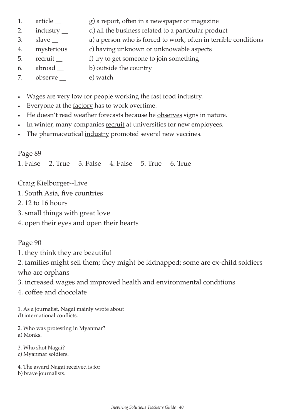- 1. article g) a report, often in a newspaper or magazine
- 2. industry \_\_ d) all the business related to a particular product
- 3. slave \_\_ a) a person who is forced to work, often in terrible conditions
- 4. mysterious \_\_ c) having unknown or unknowable aspects
- 5. recruit <u>executive</u> f) try to get someone to join something
- 6. abroad b) outside the country
- 7. observe e) watch
- Wages are very low for people working the fast food industry.
- Everyone at the factory has to work overtime.
- He doesn't read weather forecasts because he observes signs in nature.
- In winter, many companies recruit at universities for new employees.
- The pharmaceutical industry promoted several new vaccines.

## Page 89

1. False 2. True 3. False 4. False 5. True 6. True

Craig Kielburger--Live

- 1. South Asia, five countries
- 2. 12 to 16 hours
- 3. small things with great love
- 4. open their eyes and open their hearts

#### Page 90

- 1. they think they are beautiful
- 2. families might sell them; they might be kidnapped; some are ex-child soldiers who are orphans
- 3. increased wages and improved health and environmental conditions
- 4. coffee and chocolate

1. As a journalist, Nagai mainly wrote about d) international conflicts.

- 2. Who was protesting in Myanmar? a) Monks.
- 3. Who shot Nagai?
- c) Myanmar soldiers.

4. The award Nagai received is for b) brave journalists.